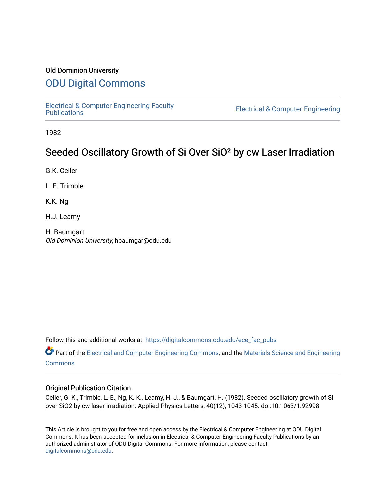#### Old Dominion University

## [ODU Digital Commons](https://digitalcommons.odu.edu/)

[Electrical & Computer Engineering Faculty](https://digitalcommons.odu.edu/ece_fac_pubs) 

**Electrical & Computer Engineering** 

1982

# Seeded Oscillatory Growth of Si Over SiO<sup>2</sup> by cw Laser Irradiation

G.K. Celler

L. E. Trimble

K.K. Ng

H.J. Leamy

H. Baumgart Old Dominion University, hbaumgar@odu.edu

Follow this and additional works at: [https://digitalcommons.odu.edu/ece\\_fac\\_pubs](https://digitalcommons.odu.edu/ece_fac_pubs?utm_source=digitalcommons.odu.edu%2Fece_fac_pubs%2F247&utm_medium=PDF&utm_campaign=PDFCoverPages) 

Part of the [Electrical and Computer Engineering Commons](http://network.bepress.com/hgg/discipline/266?utm_source=digitalcommons.odu.edu%2Fece_fac_pubs%2F247&utm_medium=PDF&utm_campaign=PDFCoverPages), and the [Materials Science and Engineering](http://network.bepress.com/hgg/discipline/285?utm_source=digitalcommons.odu.edu%2Fece_fac_pubs%2F247&utm_medium=PDF&utm_campaign=PDFCoverPages)  [Commons](http://network.bepress.com/hgg/discipline/285?utm_source=digitalcommons.odu.edu%2Fece_fac_pubs%2F247&utm_medium=PDF&utm_campaign=PDFCoverPages)

#### Original Publication Citation

Celler, G. K., Trimble, L. E., Ng, K. K., Leamy, H. J., & Baumgart, H. (1982). Seeded oscillatory growth of Si over SiO2 by cw laser irradiation. Applied Physics Letters, 40(12), 1043-1045. doi:10.1063/1.92998

This Article is brought to you for free and open access by the Electrical & Computer Engineering at ODU Digital Commons. It has been accepted for inclusion in Electrical & Computer Engineering Faculty Publications by an authorized administrator of ODU Digital Commons. For more information, please contact [digitalcommons@odu.edu](mailto:digitalcommons@odu.edu).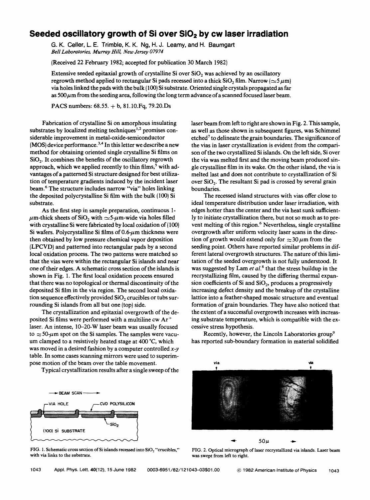### **Seeded oscillatory growth of Si over SiO<sub>2</sub> by cw laser irradiation**

G. K. Geller, L. E. Trimble, K. K. Ng, H.J. Leamy, and H. Baumgart *Bell Laboratories, Murray Hill, New Jersey 07974* 

(Received 22 February 1982; accepted for publication 30 March 1982)

Extensive seeded epitaxial growth of crystalline Si over  $SiO<sub>2</sub>$  was achieved by an oscillatory regrowth method applied to rectangular Si pads recessed into a thick  $SiO<sub>2</sub> film$ . Narrow ( $\approx$ 5 $\mu$ m) via holes linked the pads with the bulk ( 100) Si substrate. Oriented single crystals propagated as far as 500 *µm* from the seeding area, following the long term advance of a scanned focused laser beam.

**PACS** numbers: 68.55. + b, 81.10.Fq, 79.20.Ds

Fabrication of crystalline Si on amorphous insulating substrates by localized melting techniques<sup>1,2</sup> promises considerable improvement in metal-oxide-semiconductor **(MOS)** device performance. 3• 4 In this letter we describe a new method for obtaining oriented single crystalline Si films on **Si02•** It combines the benefits of the oscillatory regrowth approach, which we applied recently to thin films,<sup>5</sup> with advantages of a patterned Si structure designed for best utilization of temperature gradients induced by the incident laser beam. 6 The structure includes narrow "via" holes linking the deposited polycrystalline Si film with the bulk (100) Si substrate.

As the first step in sample preparation, continuous 1-  $\mu$ m-thick sheets of SiO<sub>2</sub> with  $\sim$ 5- $\mu$ m-wide via holes filled with crystalline Si were fabricated by local oxidation of (100) Si wafers. Polycrystalline Si films *of0.6-µm* thickness were then obtained by low pressure chemical vapor deposition (LPCVD) and patterned into rectangular pads by a second local oxidation process. The two patterns were matched so that the vias were within the rectangular Si islands and near one of their edges. **A** schematic cross section of the islands is shown in Fig. 1. The first local oxidation process ensured that there was no topological or thermal discontinuity of the deposited Si film in the via region. The second local oxidation sequence effectively provided **Si02** crucibles or tubs surrounding Si islands from all but one (top) side.

The crystallization and epitaxial overgrowth of the deposited Si films were performed with a multiline cw Ar<sup>+</sup> laser. An intense, 10-20-W laser beam was usually focused to  $\approx$  50- $\mu$ m spot on the Si samples. The samples were vacuum clamped to a resistively heated stage at 400 °C, which was moved in a desired fashion by a computer controlled  $x-y$ table. In some cases scanning mirrors were used to superimpose motion of the beam over the table movement.

Typical crystallization results after a single sweep of the



FIG. 1. Schematic cross section of Si islands recessed into SiO<sub>2</sub> "crucibles," with via links to the substrate.

laser beam from left to right are shown in Fig. 2. This sample, as well as those shown in subsequent figures, was Schimmel etched<sup>7</sup> to delineate the grain boundaries. The significance of the vias in laser crystallization is evident from the comparison of the two crystallized Si islands. On the left side, Si over the via was melted first and the moving beam produced single crystalline film in its wake. On the other island, the via is melted last and does not contribute to crystallization of Si over **Si02•** The resultant Si pad is crossed by several grain boundaries.

The recessed island structures with vias offer close to ideal temperature distribution under laser irradiation, with edges hotter than the center and the via heat sunk sufficiently to initiate crystallization there, but not so much as to prevent melting of this region.<sup>6</sup> Nevertheless, single crystalline overgrowth after uniform velocity laser scans in the direction of growth would extend only for  $\approx 30 \,\mu \text{m}$  from the seeding point. Others have reported similar problems in different lateral overgrowth structures. The nature of this limitation of the seeded overgrowth is not fully understood. It was suggested by Lam *et al.*<sup>8</sup> that the stress buildup in the recrystallizing film, caused by the differing thermal expansion coefficients of Si and **Si02,** produces a progressively increasing defect density and the breakup of the crystalline lattice into a feather-shaped mosaic structure and eventual formation of grain boundaries. They have also noticed that the extent of a successful overgrowth increases with increasing substrate temperature, which is compatible with the excessive stress hypothesis.

Recently, however, the Lincoln Laboratories group<sup>9</sup> has reported sub-boundary formation in material solidified



was swept from left to right.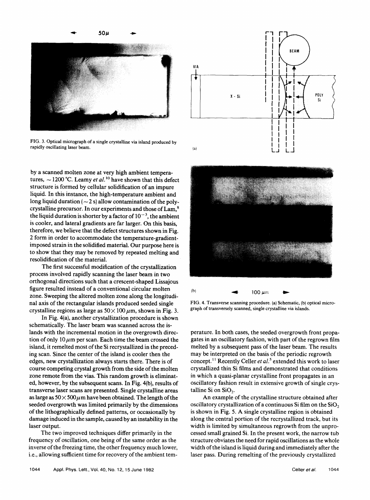

FIG. 3. Optical micrograph of a single crystalline via island produced by rapidly oscillating laser beam.

by a scanned molten zone at very high ambient temperatures,  $\sim$  1200 °C. Leamy *et al.*<sup>10</sup> have shown that this defect structure is formed by cellular solidification of an impure liquid. In this instance, the high-temperature ambient and long liquid duration  $(-2 s)$  allow contamination of the polycrystalline precursor. In our experiments and those of Lam, <sup>8</sup> the liquid duration is shorter by a factor of  $10^{-3}$ , the ambient is cooler, and lateral gradients are far larger. On this basis, therefore, we believe that the defect structures shown in Fig. 2 form in order to accommodate the temperature-gradientimposed strain in the solidified material. Our purpose here is to show that they may be removed by repeated melting and resolidification of the material.

The first successful modification of the crystallization process involved rapidly scanning the laser beam in two orthogonal directions such that a crescent-shaped Lissajous figure resulted instead of a conventional circular molten zone. Sweeping the altered molten zone along the longitudinal axis of the rectangular islands produced seeded single crystalline regions as large as  $50 \times 100 \,\mu$ m, shown in Fig. 3.

In Fig. 4(a), another crystallization procedure is shown schematically. The laser beam was scanned across the islands with the incremental motion in the overgrowth direction of only  $10 \mu m$  per scan. Each time the beam crossed the island, it remelted most of the Si recrystallized in the preceding scan. Since the center of the island is cooler then the edges, new crystallization always starts there. There is of course competing crystal growth from the side of the molten zone remote from the vias. This random growth is eliminated, however, by the subsequent scans. In Fig. 4(b), results of transverse laser scans are presented. Single crystalline areas as large as  $50 \times 500 \mu$ m have been obtained. The length of the seeded overgrowth was limited primarily by the dimensions of the lithographically defined patterns, or occasionally by damage induced in the sample, caused by an instability in the laser output.

The two improved techniques differ primarily in the frequency of oscillation, one being of the same order as the inverse of the freezing time, the other frequency much lower, i.e., allowing sufficient time for recovery of the ambient tem-





FIG. 4. Transverse scanning procedure. (a) Schematic, (b) optical micrograph of transversely scanned, single crystalline via islands.

perature. In both cases, the seeded overgrowth front propagates in an oscillatory fashion, with part of the regrown film melted by a subsequent pass of the laser beam. The results may be interpreted on the basis of the periodic regrowth concept.<sup>11</sup> Recently Celler *et al.*<sup>5</sup> extended this work to laser crystallized thin Si films and demonstrated that conditions in which a quasi-planar crystalline front propagates in an oscillatory fashion result in extensive growth of single crystalline Si on **Si02.** 

An example of the crystalline structure obtained after oscillatory crystallization of a continuous Si film on the  $SiO<sub>2</sub>$ is shown in Fig. 5. A single crystalline region is obtained along the central portion of the recrystallized track, but its width is limited by simultaneous regrowth from the unprocessed small grained Si. In the present work, the narrow tub structure obviates the need for rapid oscillations as the whole width of the island is liquid during and immediately after the laser pass. During remelting of the previously crystallized